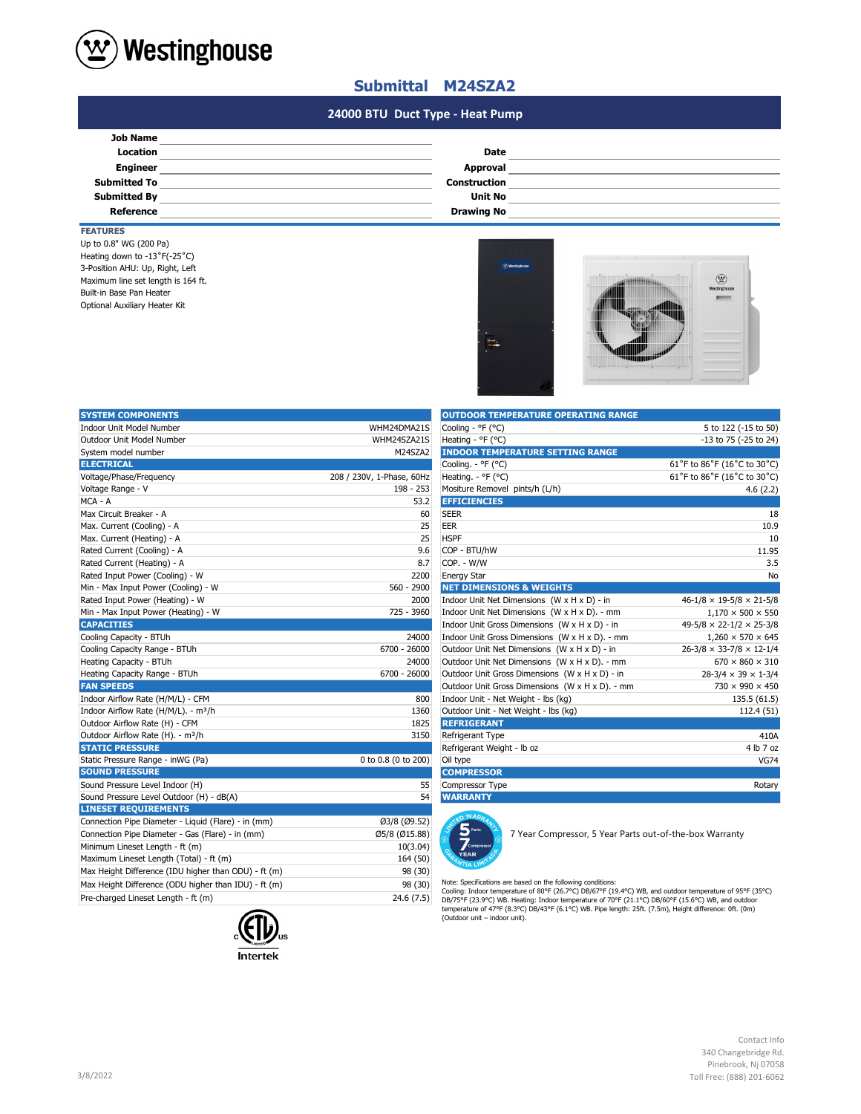

## **Submittal M24SZA2**

### **#N/A #N/A 24000 BTU Duct Type - Heat Pump**

| Date                |  |
|---------------------|--|
| Approval            |  |
| <b>Construction</b> |  |
| <b>Unit No</b>      |  |
| <b>Drawing No</b>   |  |
|                     |  |

## **FEATURES**

Optional Auxiliary Heater Kit 3-Position AHU: Up, Right, Left Up to 0.8" WG (200 Pa) Heating down to -13˚F(-25˚C) Maximum line set length is 164 ft. Built-in Base Pan Heater



| <b>SYSTEM COMPONENTS</b>                             |                           | <b>OUTDOOR TEMPERATURE OPERATING RANGE</b>                                                                                                                                                                                                                                                                              |                                            |
|------------------------------------------------------|---------------------------|-------------------------------------------------------------------------------------------------------------------------------------------------------------------------------------------------------------------------------------------------------------------------------------------------------------------------|--------------------------------------------|
| Indoor Unit Model Number                             | WHM24DMA21S               | Cooling - °F (°C)                                                                                                                                                                                                                                                                                                       | 5 to 122 (-15 to 50)                       |
| Outdoor Unit Model Number                            | WHM24SZA21S               | Heating - $^{\circ}$ F ( $^{\circ}$ C)                                                                                                                                                                                                                                                                                  | -13 to 75 (-25 to 24)                      |
| System model number                                  | M24SZA2                   | <b>INDOOR TEMPERATURE SETTING RANGE</b>                                                                                                                                                                                                                                                                                 |                                            |
| <b>ELECTRICAL</b>                                    |                           | Cooling. - °F (°C)                                                                                                                                                                                                                                                                                                      | 61°F to 86°F (16°C to 30°C)                |
| Voltage/Phase/Frequency                              | 208 / 230V, 1-Phase, 60Hz | Heating. $-$ °F (°C)                                                                                                                                                                                                                                                                                                    | 61°F to 86°F (16°C to 30°C)                |
| Voltage Range - V                                    | 198 - 253                 | Mositure Removel pints/h (L/h)                                                                                                                                                                                                                                                                                          | 4.6(2.2)                                   |
| MCA - A                                              | 53.2                      | <b>EFFICIENCIES</b>                                                                                                                                                                                                                                                                                                     |                                            |
| Max Circuit Breaker - A                              | 60                        | <b>SEER</b>                                                                                                                                                                                                                                                                                                             | 18                                         |
| Max. Current (Cooling) - A                           | 25                        | EER                                                                                                                                                                                                                                                                                                                     | 10.9                                       |
| Max. Current (Heating) - A                           | 25                        | <b>HSPF</b>                                                                                                                                                                                                                                                                                                             | 10                                         |
| Rated Current (Cooling) - A                          | 9.6                       | COP - BTU/hW                                                                                                                                                                                                                                                                                                            | 11.95                                      |
| Rated Current (Heating) - A                          | 8.7                       | COP. - W/W                                                                                                                                                                                                                                                                                                              | 3.5                                        |
| Rated Input Power (Cooling) - W                      | 2200                      | <b>Energy Star</b>                                                                                                                                                                                                                                                                                                      | No                                         |
| Min - Max Input Power (Cooling) - W                  | 560 - 2900                | <b>NET DIMENSIONS &amp; WEIGHTS</b>                                                                                                                                                                                                                                                                                     |                                            |
| Rated Input Power (Heating) - W                      | 2000                      | Indoor Unit Net Dimensions (W x H x D) - in                                                                                                                                                                                                                                                                             | $46 - 1/8 \times 19 - 5/8 \times 21 - 5/8$ |
| Min - Max Input Power (Heating) - W                  | 725 - 3960                | Indoor Unit Net Dimensions (W x H x D). - mm                                                                                                                                                                                                                                                                            | $1,170 \times 500 \times 550$              |
| <b>CAPACITIES</b>                                    |                           | Indoor Unit Gross Dimensions $(W \times H \times D)$ - in                                                                                                                                                                                                                                                               | $49-5/8 \times 22-1/2 \times 25-3/8$       |
| Cooling Capacity - BTUh                              | 24000                     | Indoor Unit Gross Dimensions (W x H x D). - mm                                                                                                                                                                                                                                                                          | $1,260 \times 570 \times 645$              |
| Cooling Capacity Range - BTUh                        | 6700 - 26000              | Outdoor Unit Net Dimensions (W x H x D) - in                                                                                                                                                                                                                                                                            | $26 - 3/8 \times 33 - 7/8 \times 12 - 1/4$ |
| Heating Capacity - BTUh                              | 24000                     | Outdoor Unit Net Dimensions (W x H x D). - mm                                                                                                                                                                                                                                                                           | $670 \times 860 \times 310$                |
| Heating Capacity Range - BTUh                        | 6700 - 26000              | Outdoor Unit Gross Dimensions (W x H x D) - in                                                                                                                                                                                                                                                                          | $28-3/4 \times 39 \times 1-3/4$            |
| <b>FAN SPEEDS</b>                                    |                           | Outdoor Unit Gross Dimensions (W x H x D). - mm                                                                                                                                                                                                                                                                         | 730 × 990 × 450                            |
| Indoor Airflow Rate (H/M/L) - CFM                    | 800                       | Indoor Unit - Net Weight - lbs (kg)                                                                                                                                                                                                                                                                                     | 135.5(61.5)                                |
| Indoor Airflow Rate (H/M/L). - m <sup>3</sup> /h     | 1360                      | Outdoor Unit - Net Weight - Ibs (kg)                                                                                                                                                                                                                                                                                    | 112.4 (51)                                 |
| Outdoor Airflow Rate (H) - CFM                       | 1825                      | <b>REFRIGERANT</b>                                                                                                                                                                                                                                                                                                      |                                            |
| Outdoor Airflow Rate (H). - m <sup>3</sup> /h        | 3150                      | Refrigerant Type                                                                                                                                                                                                                                                                                                        | 410A                                       |
| <b>STATIC PRESSURE</b>                               |                           | Refrigerant Weight - Ib oz                                                                                                                                                                                                                                                                                              | 4 lb 7 oz                                  |
| Static Pressure Range - inWG (Pa)                    | 0 to 0.8 (0 to 200)       | Oil type                                                                                                                                                                                                                                                                                                                | <b>VG74</b>                                |
| <b>SOUND PRESSURE</b>                                |                           | <b>COMPRESSOR</b>                                                                                                                                                                                                                                                                                                       |                                            |
| Sound Pressure Level Indoor (H)                      | 55                        | Compressor Type                                                                                                                                                                                                                                                                                                         | Rotary                                     |
| Sound Pressure Level Outdoor (H) - dB(A)             | 54                        | <b>WARRANTY</b>                                                                                                                                                                                                                                                                                                         |                                            |
| <b>LINESET REQUIREMENTS</b>                          |                           | O WARD                                                                                                                                                                                                                                                                                                                  |                                            |
| Connection Pipe Diameter - Liquid (Flare) - in (mm)  | Ø3/8 (Ø9.52)              |                                                                                                                                                                                                                                                                                                                         |                                            |
| Connection Pipe Diameter - Gas (Flare) - in (mm)     | Ø5/8 (Ø15.88)             | 7 Year Compressor, 5 Year Parts out-of-the-box Warranty                                                                                                                                                                                                                                                                 |                                            |
| Minimum Lineset Length - ft (m)                      | 10(3.04)                  | <b>Compres</b>                                                                                                                                                                                                                                                                                                          |                                            |
| Maximum Lineset Length (Total) - ft (m)              | 164 (50)                  | <b>YEAR</b>                                                                                                                                                                                                                                                                                                             |                                            |
| Max Height Difference (IDU higher than ODU) - ft (m) | 98 (30)                   |                                                                                                                                                                                                                                                                                                                         |                                            |
| Max Height Difference (ODU higher than IDU) - ft (m) | 98 (30)                   | Note: Specifications are based on the following conditions:                                                                                                                                                                                                                                                             |                                            |
| Pre-charged Lineset Length - ft (m)                  | 24.6(7.5)                 | Cooling: Indoor temperature of 80°F (26.7°C) DB/67°F (19.4°C) WB, and outdoor temperature of 95°F (35°C)<br>DB/75°F (23.9°C) WB. Heating: Indoor temperature of 70°F (21.1°C) DB/60°F (15.6°C) WB, and outdoor<br>temperature of 47°F (8.3°C) DR/43°F (6.1°C) WR, Pine length: 25ft (7.5m). Height difference: 0ft (0m) |                                            |



| <b>OUTDOOR TEMPERATURE OPERATING RANGE</b>      |                                      |
|-------------------------------------------------|--------------------------------------|
| Cooling - °F (°C)                               | 5 to 122 (-15 to 50)                 |
| Heating - °F (°C)                               | -13 to 75 (-25 to 24)                |
| <b>INDOOR TEMPERATURE SETTING RANGE</b>         |                                      |
| Cooling. - °F (°C)                              | 61°F to 86°F (16°C to 30°C)          |
| Heating. - ${}^{\circ}$ F ( ${}^{\circ}$ C)     | 61°F to 86°F (16°C to 30°C)          |
| Mositure Removel pints/h (L/h)                  | 4.6(2.2)                             |
| <b>EFFICIENCIES</b>                             |                                      |
| <b>SEER</b>                                     | 18                                   |
| <b>EER</b>                                      | 10.9                                 |
| <b>HSPF</b>                                     | 10                                   |
| COP - BTU/hW                                    | 11.95                                |
| COP. - W/W                                      | 3.5                                  |
| <b>Energy Star</b>                              | No                                   |
| <b>NET DIMENSIONS &amp; WEIGHTS</b>             |                                      |
| Indoor Unit Net Dimensions (W x H x D) - in     | $46-1/8 \times 19-5/8 \times 21-5/8$ |
| Indoor Unit Net Dimensions (W x H x D). - mm    | $1,170 \times 500 \times 550$        |
| Indoor Unit Gross Dimensions (W x H x D) - in   | $49-5/8 \times 22-1/2 \times 25-3/8$ |
| Indoor Unit Gross Dimensions (W x H x D). - mm  | $1,260 \times 570 \times 645$        |
| Outdoor Unit Net Dimensions (W x H x D) - in    | $26-3/8 \times 33-7/8 \times 12-1/4$ |
| Outdoor Unit Net Dimensions (W x H x D). - mm   | $670 \times 860 \times 310$          |
| Outdoor Unit Gross Dimensions (W x H x D) - in  | $28-3/4 \times 39 \times 1-3/4$      |
| Outdoor Unit Gross Dimensions (W x H x D). - mm | $730 \times 990 \times 450$          |
| Indoor Unit - Net Weight - lbs (kg)             | 135.5 (61.5)                         |
| Outdoor Unit - Net Weight - Ibs (kg)            | 112.4 (51)                           |
| <b>REFRIGERANT</b>                              |                                      |
| Refrigerant Type                                | 410A                                 |
| Refrigerant Weight - Ib oz                      | 4 lb 7 oz                            |
| Oil type                                        | <b>VG74</b>                          |
| <b>COMPRESSOR</b>                               |                                      |
| Compressor Type                                 | Rotary                               |
| <b>WARRANTY</b>                                 |                                      |



Note: Specifications are based on the following conditions:<br>Cooling: Indoor temperature of 80°F (26.7°C) DB/67°F (19.4°C) WB, and outdoor temperature of 95°F (35°C)<br>DB/75°F (23.9°C) WB. Heating: Indoor temperature of 70°F